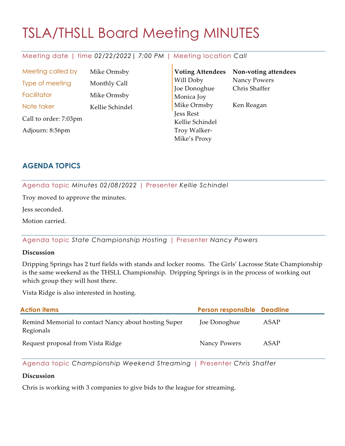# TSLA/THSLL Board Meeting MINUTES

# Meeting date | time *02/22/2022| 7:00 PM* | Meeting location *Call*

Meeting called by Mike Ormsby Type of meeting Monthly Call Facilitator Mike Ormsby Note taker Kellie Schindel Call to order: 7:03pm Adjourn: 8:56pm

**Voting Attendees** Will Doby Joe Donoghue Monica Joy Mike Ormsby Jess Rest Kellie Schindel Troy Walker-Mike's Proxy **Non-voting attendees** Nancy Powers Chris Shaffer Ken Reagan

# **AGENDA TOPICS**

Agenda topic *Minutes 02/08/2022* | Presenter *Kellie Schindel*

Troy moved to approve the minutes.

Jess seconded.

Motion carried.

Agenda topic *State Championship Hosting* | Presenter *Nancy Powers*

#### **Discussion**

Dripping Springs has 2 turf fields with stands and locker rooms. The Girls' Lacrosse State Championship is the same weekend as the THSLL Championship. Dripping Springs is in the process of working out which group they will host there.

Vista Ridge is also interested in hosting.

| <b>Action items</b>                                               | Person responsible Deadline |      |
|-------------------------------------------------------------------|-----------------------------|------|
| Remind Memorial to contact Nancy about hosting Super<br>Regionals | Joe Donoghue                | ASAP |
| Request proposal from Vista Ridge                                 | Nancy Powers                | ASAP |

Agenda topic *Championship Weekend Streaming* | Presenter *Chris Shaffer*

#### **Discussion**

Chris is working with 3 companies to give bids to the league for streaming.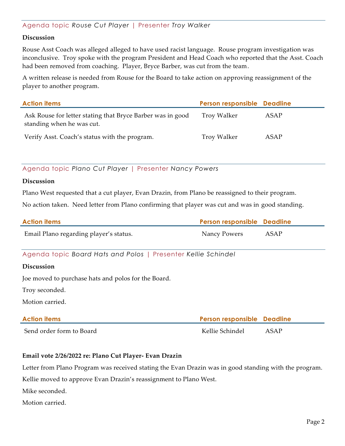### Agenda topic *Rouse Cut Player* | Presenter *Troy Walker*

#### **Discussion**

Rouse Asst Coach was alleged alleged to have used racist language. Rouse program investigation was inconclusive. Troy spoke with the program President and Head Coach who reported that the Asst. Coach had been removed from coaching. Player, Bryce Barber, was cut from the team.

A written release is needed from Rouse for the Board to take action on approving reassignment of the player to another program.

| <b>Action items</b>                                                                     | Person responsible Deadline |      |
|-----------------------------------------------------------------------------------------|-----------------------------|------|
| Ask Rouse for letter stating that Bryce Barber was in good<br>standing when he was cut. | Troy Walker                 | ASAP |
| Verify Asst. Coach's status with the program.                                           | Troy Walker                 | ASAP |

Agenda topic *Plano Cut Player* | Presenter *Nancy Powers*

#### **Discussion**

Plano West requested that a cut player, Evan Drazin, from Plano be reassigned to their program.

No action taken. Need letter from Plano confirming that player was cut and was in good standing.

| <b>Action items</b>                                           | Person responsible Deadline |      |
|---------------------------------------------------------------|-----------------------------|------|
| Email Plano regarding player's status.                        | Nancy Powers                | ASAP |
| Agenda topic Board Hats and Polos   Presenter Kellie Schindel |                             |      |
| <b>Discussion</b>                                             |                             |      |
| Joe moved to purchase hats and polos for the Board.           |                             |      |
| Troy seconded.                                                |                             |      |
| Motion carried.                                               |                             |      |
| <b>Action items</b>                                           | Person responsible Deadline |      |
| Send order form to Board                                      | Kellie Schindel             | ASAP |

#### **Email vote 2/26/2022 re: Plano Cut Player- Evan Drazin**

Letter from Plano Program was received stating the Evan Drazin was in good standing with the program.

Kellie moved to approve Evan Drazin's reassignment to Plano West.

Mike seconded.

Motion carried.